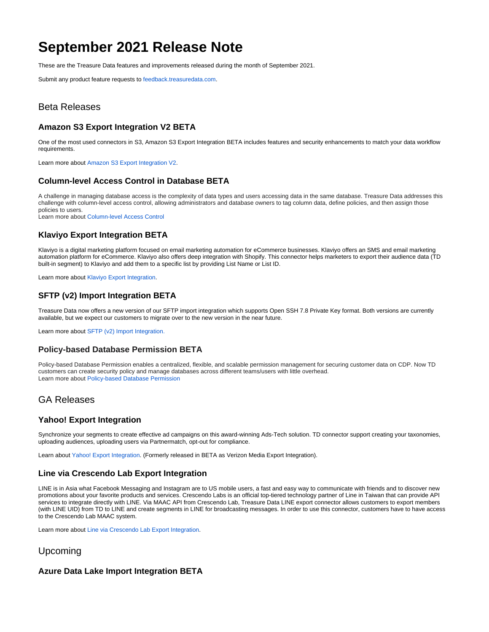# **September 2021 Release Note**

These are the Treasure Data features and improvements released during the month of September 2021.

Submit any product feature requests to [feedback.treasuredata.com](http://feedback.treasuredata.com/).

# Beta Releases

# **Amazon S3 Export Integration V2 BETA**

One of the most used connectors in S3, Amazon S3 Export Integration BETA includes features and security enhancements to match your data workflow requirements.

Learn more about [Amazon S3 Export Integration V2.](https://docs.treasuredata.com/display/public/INT/Amazon+S3+Export+Integration+v2)

#### **Column-level Access Control in Database BETA**

A challenge in managing database access is the complexity of data types and users accessing data in the same database. Treasure Data addresses this challenge with column-level access control, allowing administrators and database owners to tag column data, define policies, and then assign those policies to users. Learn more about [Column-level Access Control](https://docs.treasuredata.com/display/public/PD/About+Column-level+Access+Control)

### **Klaviyo Export Integration BETA**

Klaviyo is a digital marketing platform focused on email marketing automation for eCommerce businesses. Klaviyo offers an SMS and email marketing automation platform for eCommerce. Klaviyo also offers deep integration with Shopify. This connector helps marketers to export their audience data (TD built-in segment) to Klaviyo and add them to a specific list by providing List Name or List ID.

Learn more about [Klaviyo Export Integration.](https://docs.treasuredata.com/display/INT/Klaviyo+Export+Integration)

## **SFTP (v2) Import Integration BETA**

Treasure Data now offers a new version of our SFTP import integration which supports Open SSH 7.8 Private Key format. Both versions are currently available, but we expect our customers to migrate over to the new version in the near future.

Learn more about [SFTP \(v2\) Import Integration.](https://docs.treasuredata.com/display/INT/SFTP_V2+Server+Import+Integration)

#### **Policy-based Database Permission BETA**

Policy-based Database Permission enables a centralized, flexible, and scalable permission management for securing customer data on CDP. Now TD customers can create security policy and manage databases across different teams/users with little overhead. Learn more about [Policy-based Database Permission](https://docs.treasuredata.com/display/public/PD/About+Policy-based+Database+Permissions)

# GA Releases

#### **Yahoo! Export Integration**

Synchronize your segments to create effective ad campaigns on this award-winning Ads-Tech solution. TD connector support creating your taxonomies, uploading audiences, uploading users via Partnermatch, opt-out for compliance.

Learn about [Yahoo! Export Integration](https://docs.treasuredata.com/display/INT/Yahoo%21+Export+Integration). (Formerly released in BETA as Verizon Media Export Integration).

#### **Line via Crescendo Lab Export Integration**

LINE is in Asia what Facebook Messaging and Instagram are to US mobile users, a fast and easy way to communicate with friends and to discover new promotions about your favorite products and services. Crescendo Labs is an official top-tiered technology partner of Line in Taiwan that can provide API services to integrate directly with LINE. Via MAAC API from Crescendo Lab, Treasure Data LINE export connector allows customers to export members (with LINE UID) from TD to LINE and create segments in LINE for broadcasting messages. In order to use this connector, customers have to have access to the Crescendo Lab MAAC system.

Learn more about [Line via Crescendo Lab Export Integration](https://docs.treasuredata.com/display/INT/Line+via+Crescendo+Lab+Export+Integration).

## Upcoming

# **Azure Data Lake Import Integration BETA**